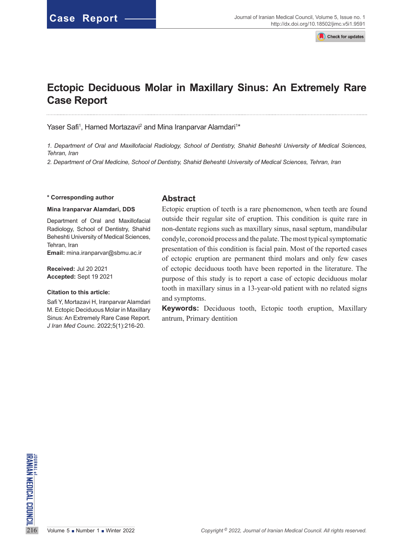Check for updates

# **Ectopic Deciduous Molar in Maxillary Sinus: An Extremely Rare Case Report**

Yaser Safi<sup>1</sup>, Hamed Mortazavi<sup>2</sup> and Mina Iranparvar Alamdari<sup>1\*</sup>

*1. Department of Oral and Maxillofacial Radiology, School of Dentistry, Shahid Beheshti University of Medical Sciences, Tehran, Iran*

*2. Department of Oral Medicine, School of Dentistry, Shahid Beheshti University of Medical Sciences, Tehran, Iran*

#### **\* Corresponding author**

#### **Mina Iranparvar Alamdari, DDS**

Department of Oral and Maxillofacial Radiology, School of Dentistry, Shahid Beheshti University of Medical Sciences, Tehran, Iran **Email:** mina.iranparvar@sbmu.ac.ir

**Received:** Jul 20 2021 **Accepted:** Sept 19 2021

#### **Citation to this article:**

Safi Y, Mortazavi H, Iranparvar Alamdari M. Ectopic Deciduous Molar in Maxillary Sinus: An Extremely Rare Case Report*. J Iran Med Counc*. 2022;5(1):216-20.

#### **Abstract**

Ectopic eruption of teeth is a rare phenomenon, when teeth are found outside their regular site of eruption. This condition is quite rare in non-dentate regions such as maxillary sinus, nasal septum, mandibular condyle, coronoid process and the palate. The most typical symptomatic presentation of this condition is facial pain. Most of the reported cases of ectopic eruption are permanent third molars and only few cases of ectopic deciduous tooth have been reported in the literature. The purpose of this study is to report a case of ectopic deciduous molar tooth in maxillary sinus in a 13-year-old patient with no related signs and symptoms.

**Keywords:** Deciduous tooth, Ectopic tooth eruption, Maxillary antrum, Primary dentition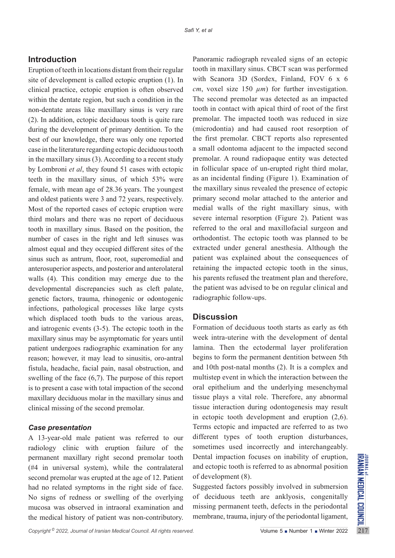## **Introduction**

Eruption of teeth in locations distant from their regular site of development is called ectopic eruption (1). In clinical practice, ectopic eruption is often observed within the dentate region, but such a condition in the non-dentate areas like maxillary sinus is very rare (2). In addition, ectopic deciduous tooth is quite rare during the development of primary dentition. To the best of our knowledge, there was only one reported case in the literature regarding ectopic deciduous tooth in the maxillary sinus (3). According to a recent study by Lombroni *et al*, they found 51 cases with ectopic teeth in the maxillary sinus, of which 53% were female, with mean age of 28.36 years. The youngest and oldest patients were 3 and 72 years, respectively. Most of the reported cases of ectopic eruption were third molars and there was no report of deciduous tooth in maxillary sinus. Based on the position, the number of cases in the right and left sinuses was almost equal and they occupied different sites of the sinus such as antrum, floor, root, superomedial and anterosuperior aspects, and posterior and anterolateral walls (4). This condition may emerge due to the developmental discrepancies such as cleft palate, genetic factors, trauma, rhinogenic or odontogenic infections, pathological processes like large cysts which displaced tooth buds to the various areas, and iatrogenic events (3-5). The ectopic tooth in the maxillary sinus may be asymptomatic for years until patient undergoes radiographic examination for any reason; however, it may lead to sinusitis, oro-antral fistula, headache, facial pain, nasal obstruction, and swelling of the face (6,7). The purpose of this report is to present a case with total impaction of the second maxillary deciduous molar in the maxillary sinus and clinical missing of the second premolar.

#### *Case presentation*

A 13-year-old male patient was referred to our radiology clinic with eruption failure of the permanent maxillary right second premolar tooth (#4 in universal system), while the contralateral second premolar was erupted at the age of 12. Patient had no related symptoms in the right side of face. No signs of redness or swelling of the overlying mucosa was observed in intraoral examination and the medical history of patient was non-contributory.

Panoramic radiograph revealed signs of an ectopic tooth in maxillary sinus. CBCT scan was performed with Scanora 3D (Sordex, Finland, FOV 6 x 6 *cm*, voxel size 150  $\mu$ *m*) for further investigation. The second premolar was detected as an impacted tooth in contact with apical third of root of the first premolar. The impacted tooth was reduced in size (microdontia) and had caused root resorption of the first premolar. CBCT reports also represented a small odontoma adjacent to the impacted second premolar. A round radiopaque entity was detected in follicular space of un-erupted right third molar, as an incidental finding (Figure 1). Examination of the maxillary sinus revealed the presence of ectopic primary second molar attached to the anterior and medial walls of the right maxillary sinus, with severe internal resorption (Figure 2). Patient was referred to the oral and maxillofacial surgeon and orthodontist. The ectopic tooth was planned to be extracted under general anesthesia. Although the patient was explained about the consequences of retaining the impacted ectopic tooth in the sinus, his parents refused the treatment plan and therefore, the patient was advised to be on regular clinical and radiographic follow-ups.

## **Discussion**

Formation of deciduous tooth starts as early as 6th week intra-uterine with the development of dental lamina. Then the ectodermal layer proliferation begins to form the permanent dentition between 5th and 10th post-natal months (2). It is a complex and multistep event in which the interaction between the oral epithelium and the underlying mesenchymal tissue plays a vital role. Therefore, any abnormal tissue interaction during odontogenesis may result in ectopic tooth development and eruption (2,6). Terms ectopic and impacted are referred to as two different types of tooth eruption disturbances, sometimes used incorrectly and interchangeably. Dental impaction focuses on inability of eruption, and ectopic tooth is referred to as abnormal position of development (8).

Suggested factors possibly involved in submersion of deciduous teeth are anklyosis, congenitally missing permanent teeth, defects in the periodontal membrane, trauma, injury of the periodontal ligament,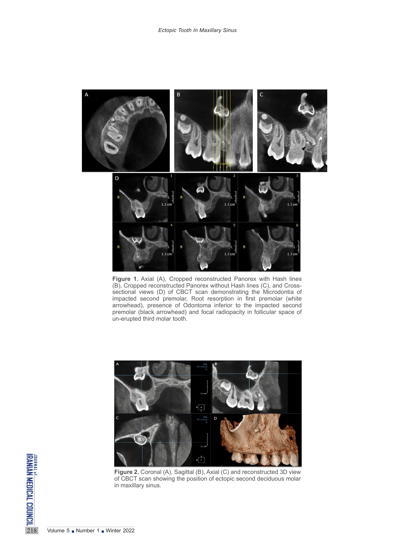

**Figure 1.** Axial (A), Cropped reconstructed Panorex with Hash lines (B), Cropped reconstructed Panorex without Hash lines (C), and Crosssectional views (D) of CBCT scan demonstrating the Microdontia of impacted second premolar, Root resorption in first premolar (white arrowhead), presence of Odontoma inferior to the impacted second premolar (black arrowhead) and focal radiopacity in follicular space of un-erupted third molar tooth.



**Figure 2.** Coronal (A), Sagittal (B), Axial (C) and reconstructed 3D view of CBCT scan showing the position of ectopic second deciduous molar in maxillary sinus.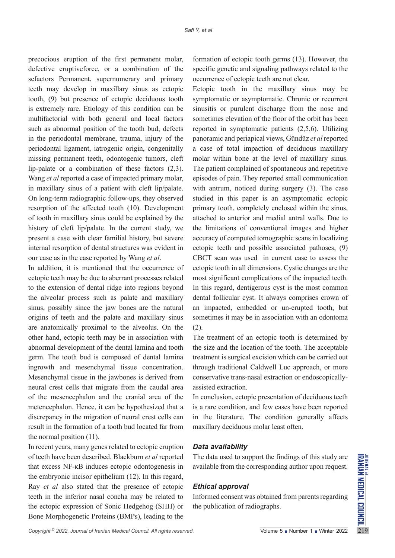precocious eruption of the first permanent molar, defective eruptiveforce, or a combination of the sefactors Permanent, supernumerary and primary teeth may develop in maxillary sinus as ectopic tooth, (9) but presence of ectopic deciduous tooth is extremely rare. Etiology of this condition can be multifactorial with both general and local factors such as abnormal position of the tooth bud, defects in the periodontal membrane, trauma, injury of the periodontal ligament, iatrogenic origin, congenitally missing permanent teeth, odontogenic tumors, cleft lip-palate or a combination of these factors (2,3). Wang *et al* reported a case of impacted primary molar, in maxillary sinus of a patient with cleft lip/palate. On long-term radiographic follow-ups, they observed resorption of the affected tooth (10). Development of tooth in maxillary sinus could be explained by the history of cleft lip/palate. In the current study, we present a case with clear familial history, but severe internal resorption of dental structures was evident in our case as in the case reported by Wang *et al*.

In addition, it is mentioned that the occurrence of ectopic teeth may be due to aberrant processes related to the extension of dental ridge into regions beyond the alveolar process such as palate and maxillary sinus, possibly since the jaw bones are the natural origins of teeth and the palate and maxillary sinus are anatomically proximal to the alveolus. On the other hand, ectopic teeth may be in association with abnormal development of the dental lamina and tooth germ. The tooth bud is composed of dental lamina ingrowth and mesenchymal tissue concentration. Mesenchymal tissue in the jawbones is derived from neural crest cells that migrate from the caudal area of the mesencephalon and the cranial area of the metencephalon. Hence, it can be hypothesized that a discrepancy in the migration of neural crest cells can result in the formation of a tooth bud located far from the normal position (11).

In recent years, many genes related to ectopic eruption of teeth have been described. Blackburn *et al* reported that excess NF-κB induces ectopic odontogenesis in the embryonic incisor epithelium (12). In this regard, Ray *et al* also stated that the presence of ectopic teeth in the inferior nasal concha may be related to the ectopic expression of Sonic Hedgehog (SHH) or Bone Morphogenetic Proteins (BMPs), leading to the

formation of ectopic tooth germs (13). However, the specific genetic and signaling pathways related to the occurrence of ectopic teeth are not clear.

Ectopic tooth in the maxillary sinus may be symptomatic or asymptomatic. Chronic or recurrent sinusitis or purulent discharge from the nose and sometimes elevation of the floor of the orbit has been reported in symptomatic patients (2,5,6). Utilizing panoramic and periapical views, Gündüz *et al* reported a case of total impaction of deciduous maxillary molar within bone at the level of maxillary sinus. The patient complained of spontaneous and repetitive episodes of pain. They reported small communication with antrum, noticed during surgery (3). The case studied in this paper is an asymptomatic ectopic primary tooth, completely enclosed within the sinus, attached to anterior and medial antral walls. Due to the limitations of conventional images and higher accuracy of computed tomographic scans in localizing ectopic teeth and possible associated pathoses, (9) CBCT scan was used in current case to assess the ectopic tooth in all dimensions. Cystic changes are the most significant complications of the impacted teeth. In this regard, dentigerous cyst is the most common dental follicular cyst. It always comprises crown of an impacted, embedded or un-erupted tooth, but sometimes it may be in association with an odontoma (2).

The treatment of an ectopic tooth is determined by the size and the location of the tooth. The acceptable treatment is surgical excision which can be carried out through traditional Caldwell Luc approach, or more conservative trans-nasal extraction or endoscopicallyassisted extraction.

In conclusion, ectopic presentation of deciduous teeth is a rare condition, and few cases have been reported in the literature. The condition generally affects maxillary deciduous molar least often.

## *Data availability*

The data used to support the findings of this study are available from the corresponding author upon request.

## *Ethical approval*

Informed consent was obtained from parents regarding the publication of radiographs.